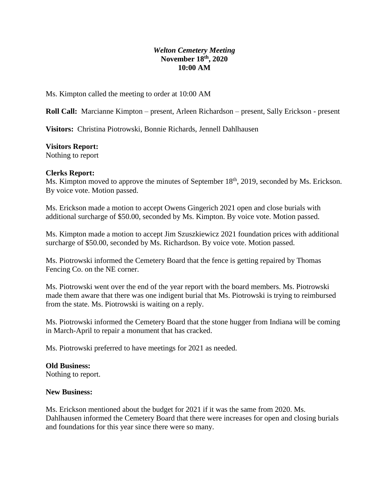## *Welton Cemetery Meeting* **November 18th, 2020 10:00 AM**

Ms. Kimpton called the meeting to order at 10:00 AM

**Roll Call:** Marcianne Kimpton – present, Arleen Richardson – present, Sally Erickson - present

**Visitors:** Christina Piotrowski, Bonnie Richards, Jennell Dahlhausen

## **Visitors Report:**

Nothing to report

## **Clerks Report:**

Ms. Kimpton moved to approve the minutes of September 18<sup>th</sup>, 2019, seconded by Ms. Erickson. By voice vote. Motion passed.

Ms. Erickson made a motion to accept Owens Gingerich 2021 open and close burials with additional surcharge of \$50.00, seconded by Ms. Kimpton. By voice vote. Motion passed.

Ms. Kimpton made a motion to accept Jim Szuszkiewicz 2021 foundation prices with additional surcharge of \$50.00, seconded by Ms. Richardson. By voice vote. Motion passed.

Ms. Piotrowski informed the Cemetery Board that the fence is getting repaired by Thomas Fencing Co. on the NE corner.

Ms. Piotrowski went over the end of the year report with the board members. Ms. Piotrowski made them aware that there was one indigent burial that Ms. Piotrowski is trying to reimbursed from the state. Ms. Piotrowski is waiting on a reply.

Ms. Piotrowski informed the Cemetery Board that the stone hugger from Indiana will be coming in March-April to repair a monument that has cracked.

Ms. Piotrowski preferred to have meetings for 2021 as needed.

# **Old Business:**

Nothing to report.

#### **New Business:**

Ms. Erickson mentioned about the budget for 2021 if it was the same from 2020. Ms. Dahlhausen informed the Cemetery Board that there were increases for open and closing burials and foundations for this year since there were so many.